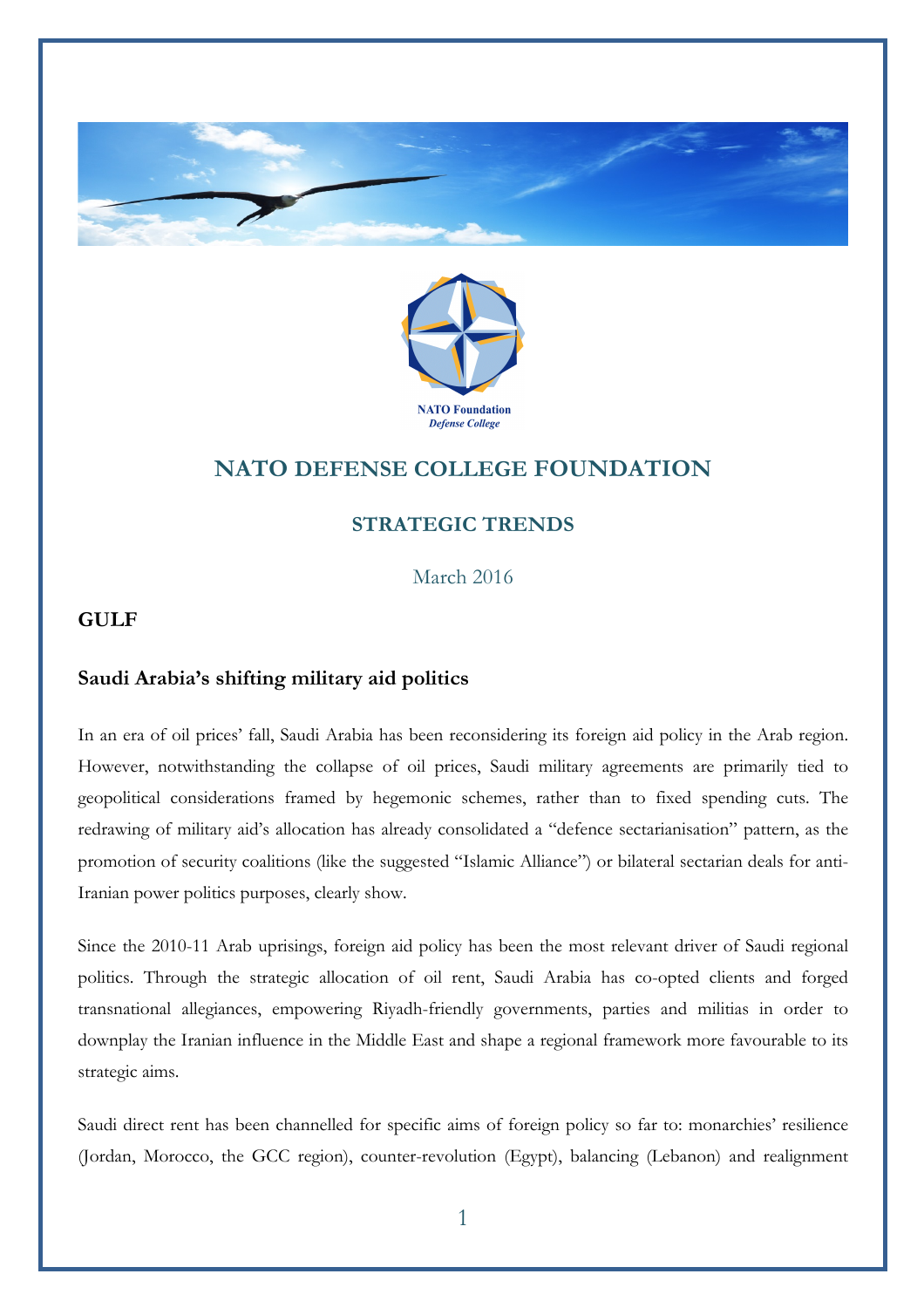



# **NATO DEFENSE COLLEGE FOUNDATION**

## **STRATEGIC TRENDS**

March 2016

### **GULF**

#### **Saudi Arabia's shifting military aid politics**

In an era of oil prices' fall, Saudi Arabia has been reconsidering its foreign aid policy in the Arab region. However, notwithstanding the collapse of oil prices, Saudi military agreements are primarily tied to geopolitical considerations framed by hegemonic schemes, rather than to fixed spending cuts. The redrawing of military aid's allocation has already consolidated a "defence sectarianisation" pattern, as the promotion of security coalitions (like the suggested "Islamic Alliance") or bilateral sectarian deals for anti-Iranian power politics purposes, clearly show.

Since the 2010-11 Arab uprisings, foreign aid policy has been the most relevant driver of Saudi regional politics. Through the strategic allocation of oil rent, Saudi Arabia has co-opted clients and forged transnational allegiances, empowering Riyadh-friendly governments, parties and militias in order to downplay the Iranian influence in the Middle East and shape a regional framework more favourable to its strategic aims.

Saudi direct rent has been channelled for specific aims of foreign policy so far to: monarchies' resilience (Jordan, Morocco, the GCC region), counter-revolution (Egypt), balancing (Lebanon) and realignment